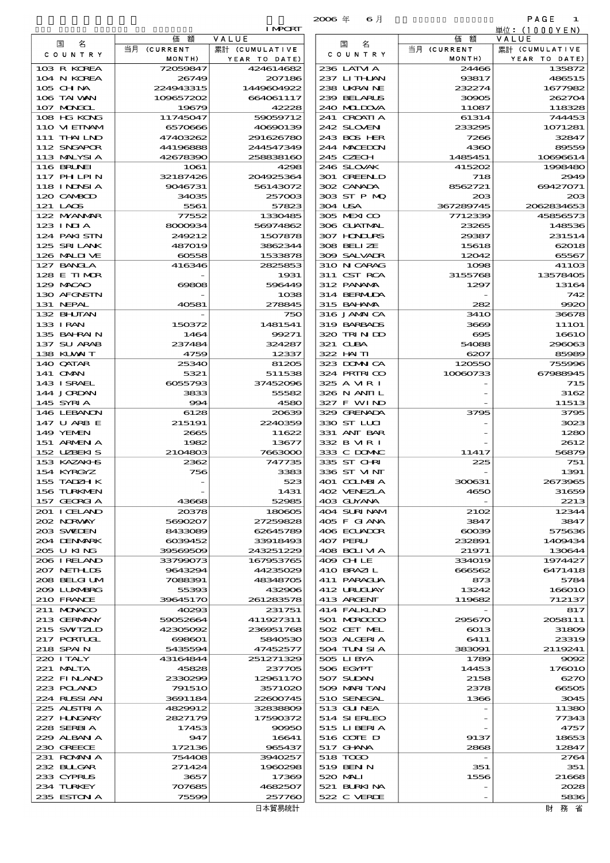|                                  |                          |                         | $2006$ $#$<br>6月           |                       | PAGE<br>1               |
|----------------------------------|--------------------------|-------------------------|----------------------------|-----------------------|-------------------------|
|                                  |                          | <b>I MPORT</b>          |                            |                       | 単位: (1000YEN)           |
| 名<br>国                           | 価<br>額<br>当月 (CURRENT    | VALUE<br>累計 (CUMULATIVE | 名<br>国                     | 額<br>価<br>当月 (CURRENT | VALUE<br>累計 (CUMULATIVE |
| C O U N T R Y                    | MONTH)                   | YEAR TO DATE)           | C O U N T R Y              | MONTH)                | YEAR TO DATE)           |
| 103 R KOREA                      | 72059847                 | 424614682               | 236 LATM A                 | 24466                 | 135872                  |
| 104 N KOREA                      | 26749                    | 207186                  | 237 LITHAN                 | 93817                 | 486515                  |
| 105 CH NA<br>106 TAI WAN         | 224943315<br>109657202   | 1449604922<br>664061117 | 238 UKRAINE<br>239 BELARUS | 232274<br>30905       | 1677982<br>262704       |
| 107 MONGOL                       | 19679                    | 42228                   | 240 MIDJA                  | 11087                 | 118328                  |
| 108 HG KONG                      | 11745047                 | 59059712                | 241 CROATIA                | 61314                 | 744453                  |
| 110 VIETNAM                      | 6570666                  | 40690139                | 242 SLOVEN                 | 233295                | 1071281                 |
| 111 THAILND                      | 47403262                 | 291626780               | 243 BOS HER                | 7266                  | 32847                   |
| 112 SNGAPOR<br>113 MALYSIA       | 44196888<br>42678390     | 244547349<br>258838160  | 244 MACEDON<br>245 CZECH   | 4360<br>1485451       | 89559<br>10696614       |
| 116 BRUNEI                       | 1061                     | 4298                    | 246 SLOVAK                 | 415202                | 1998480                 |
| 117 PHLPIN                       | 32187426                 | 204925364               | 301 GREENLD                | 718                   | 2949                    |
| 118 I NDSI A                     | 9046731                  | 56143072                | 302 CANADA                 | 8562721               | 69427071                |
| 120 CAMBOD<br>121 LAOS           | 34035                    | 257003                  | 303 ST P MQ<br>304 USA     | 203                   | 20B                     |
| 122 MYANAR                       | 5561<br>77552            | 57823<br>1330485        | 305 MEXICO                 | 367289745<br>7712339  | 2062834653<br>45856573  |
| 123 INJA                         | 8000934                  | 56974862                | 306 GUATMAL                | 23265                 | 148536                  |
| 124 PAKI STN                     | 249212                   | 1507878                 | 307 HONDURS                | 29387                 | 231514                  |
| 125 SRILANK                      | 487019                   | 3862344                 | 308 BELLZE                 | 15618                 | 62018                   |
| 126 MALINE<br>127 BANCLA         | 60558<br>416346          | 1533878<br>2825853      | 309 SALVAIR<br>310 N CARAG | 12042<br>1098         | 65567<br>41103          |
| 128 E TIMOR                      |                          | 1931                    | 311 CST RCA                | 3155768               | 13578405                |
| 129 MACAO                        | 69808                    | 596449                  | 312 PANAMA                 | 1297                  | 13164                   |
| 130 AFGNSIN                      |                          | 1038                    | 314 BERMIDA                |                       | 742                     |
| 131 NEPAL                        | 40581                    | 278845                  | 315 BAHAMA                 | 282                   | 9920                    |
| 132 BHUTAN<br>133 I RAN          | 150372                   | 750<br>1481541          | 316 JAMAICA<br>319 BARBADS | <b>3410</b><br>3669   | 36678<br><b>111O1</b>   |
| 135 BAHRAIN                      | 1464                     | 99271                   | 320 TRINDO                 | $\infty$              | 16610                   |
| 137 SU ARAB                      | 237484                   | 324287                  | 321 CLBA                   | 54088                 | 296063                  |
| 138 KUWAIT                       | 4759                     | 12337                   | 322 HAITI                  | 6207                  | 85989                   |
| 140 QATAR<br>141 OMN             | 25340<br>5321            | 81205<br>511538         | 323 DOMNICA<br>324 PRIRICO | 120550<br>10080733    | 755996<br>67988945      |
| 143 ISRAEL                       | 6055793                  | 37452096                | 325 A MR I                 |                       | 715                     |
| 144 JORDAN                       | 3833                     | 55582                   | 326 N ANII L               |                       | 3162                    |
| 145 SYRIA                        | 994                      | 4580                    | 327 F WIND                 |                       | 11513                   |
| 146 LEBANON                      | 6128                     | 20639                   | 329 GRENADA                | 3795                  | 3795                    |
| 147 U ARB E<br>149 YEMEN         | 215191<br>2665           | 2240359<br>11622        | 330 ST LUI<br>331 ANT BAR  |                       | 3023<br>1280            |
| 151 ARMENIA                      | 1982                     | 13677                   | 332 B MR I                 |                       | 2612                    |
| 152 UZBEKIS                      | 2104803                  | 7663000                 | 333 C DOMAC                | 11417                 | 56879                   |
| 153 KAZAKI B                     | 2362                     | 747735                  | 335 ST CHRI                | 225                   | 751                     |
| 154 KYRGYZ<br>155 TADZH K        | 756                      | 3383<br>523             | 336 ST VINT<br>401 COLMBIA | 300631                | 1391<br>2673965         |
| 156 TURKMEN                      |                          | 1431                    | 402 VENEZIA                | 4650                  | 31659                   |
| 157 GEORGIA                      | 43668                    | 52985                   | 403 GUYANA                 |                       | 2213                    |
| 201 I CELAND                     | 20378                    | 180605                  | 404 SURINAM                | 21O <sub>2</sub>      | 12344                   |
| 202 N.R.WAY<br>203 SWIDEN        | 5690207<br>8433089       | 27259828<br>62645789    | 405 F GIANA<br>406 ECUADOR | 3847<br>$\cos$        | 3847<br>575636          |
| 204 DENMARK                      | 6039452                  | 33918493                | 407 PERU                   | 232891                | 1409434                 |
| 205 U KING                       | 39569509                 | 243251229               | 408 BOLIMA                 | 21971                 | 130644                  |
| 206 I RELAND                     | 33799073                 | 167953765               | 409 CHLE                   | 334019                | 1974427                 |
| 207 NETHLIS<br>208 BELGI UM      | 9643294<br>7088391       | 44235029<br>48348705    | 410 BRAZI L<br>411 PARAGUA | 666562<br>873         | 6471418<br>5784         |
| 2009 LUNABRG                     | 55393                    | 432906                  | 412 URUGUAY                | 13242                 | 166010                  |
| 210 FRANCE                       | 39645170                 | 261283578               | 413 ARGENT                 | 119682                | 712137                  |
| 211 MUNACO                       | 40293                    | 231751                  | 414 FALKLND                |                       | 817                     |
| 213 GERMANY<br>215 SWIZLD        | 59052664<br>42305092     | 411927311<br>236951768  | 501 MAROCCO<br>502 CET MEL | 295670<br>6013        | 2058111<br>31809        |
| 217 PORTUGL                      | 698601                   | 5840530                 | 503 ALGERIA                | 6411                  | 23319                   |
| 218 SPAIN                        | 5435594                  | 47452577                | 504 TUN SI A               | 383091                | 2119241                 |
| 220 I TALY                       | 43164844                 | 251271329               | 505 LIBYA                  | 1789                  | 9092                    |
| 221 MALTA                        | 45828                    | 237705                  | 506 EGYPT                  | 14453                 | 176010                  |
| 222 FINAND<br>223 POLAND         | 2330299<br><b>791510</b> | 12961170<br>3571020     | 507 SUDAN<br>509 MARI TAN  | 2158<br>2378          | 6270<br>66505           |
| 224 RUSSI AN                     | 3691184                  | 22600745                | 510 SENEGAL                | 1366                  | 3045                    |
| 225 ALSTRIA                      | 4829912                  | 32838809                | 513 GUNEA                  |                       | 11380                   |
| 227 H.NGARY                      | 2827179                  | 17590372                | 514 SIERLEO                |                       | 77343                   |
| 228 SERBIA<br>229 ALBAN A        | 17453<br>947             | 90950<br>16641          | 515 LIBERIA<br>516 COIE D  | 9137                  | 4757<br>18653           |
| 230 GREECE                       | 172136                   | 965437                  | 517 GHNA                   | 2868                  | 12847                   |
| 231 ROMANIA                      | 754408                   | 3940257                 | 518 TODO                   |                       | 2764                    |
| 232 BULGAR                       | 271424                   | 1960298                 | 519 BEN N                  | 351                   | 351                     |
| 233 CYPRUS                       | 3657                     | 17369                   | 520 MAI                    | 1556                  | 21668                   |
| 234 TURKEY<br><b>225 EXTAL A</b> | 707685<br>75500          | 4682507<br>257780       | 521 BURKINA<br>$522C$ MENT |                       | 2028<br>5826            |

|                                 |                          | <b>I MPORT</b>                  |                            |                        | 単位:(1000YEN)                    |
|---------------------------------|--------------------------|---------------------------------|----------------------------|------------------------|---------------------------------|
| 国<br>名                          | 額<br>価                   | VALUE                           | 名<br>国                     | 価額                     | VALUE                           |
| COUNTRY                         | 当月 (CURRENT<br>MONTH)    | 累計 (CUMULATIVE<br>YEAR TO DATE) | COUNTRY                    | 当月 (CURRENT<br>MONTH)  | 累計 (CUMULATIVE<br>YEAR TO DATE) |
| 103 R KOREA                     | 72059847                 | 424614682                       | 236 LATM A                 | 24466                  | 135872                          |
| 104 N KOREA                     | 26749                    | 207186                          | 237 LITHLAN                | 93817                  | 486515                          |
| $105$ CHNA                      | 224943315                | 1449604922                      | 238 UKRAINE                | 232274                 | 1677982                         |
| 106 TAI VAN                     | 109657202                | 664061117                       | 239 BELARUS                | 30905                  | 262704                          |
| 107 MONGOL<br>108 HG KONG       | 19679<br>11745047        | 42228<br>59059712               | 240 MIDOVA<br>241 CROATIA  | 11087<br>61314         | 118328<br>744453                |
| 110 VIEINAM                     | 6570666                  | 40690139                        | 242 SLOVEN                 | 233295                 | 1071281                         |
| 111 THAILND                     | 47403262                 | 291626780                       | 243 BOS HER                | 7266                   | 32847                           |
| 112 SNGAPOR                     | 44196888                 | 244547349                       | 244 MACEDON                | 4360                   | 89559                           |
| 113 MALYSIA                     | 42678390                 | 258838160                       | 245 CZECH                  | 1485451                | 10696614                        |
| <b>116 BRUNEI</b><br>117 PHLPIN | 1061<br>32187426         | 4298<br>204925364               | 246 SLOVAK<br>301 GREENLD  | 415202<br>718          | 1998480<br>2949                 |
| 118 I NJNSI A                   | 9046731                  | 56143072                        | 302 CANADA                 | 8562721                | 69427071                        |
| 120 CAMBOD                      | 34035                    | 257003                          | 303 ST P MQ                | $_{203}$               | 200                             |
| 121 LAOS                        | 5561                     | 57823                           | 304 USA                    | 367289745              | 2062834653                      |
| 122 MYANMAR<br>$123$ INIA       | 77552                    | 1330485<br>56974862             | 305 MEXICO<br>306 GUATMAL  | 7712339<br>23265       | 45856573<br>148536              |
| 124 PAKISTN                     | 8000934<br>249212        | 1507878                         | 307 HONDURS                | 29387                  | 231514                          |
| 125 SRILANK                     | 487019                   | 3862344                         | 308 BELIZE                 | 15618                  | 62018                           |
| 126 MALII VE                    | 60558                    | 1533878                         | 309 SALVADR                | 12042                  | 65567                           |
| 127 BANCLA                      | 416346                   | 2825853                         | 310 N CARAG                | 1098                   | 41100                           |
| 128 E TIMOR                     |                          | 1931<br>596449                  | 311 CST RCA<br>312 PANAMA  | 3155768                | 13578405                        |
| 129 MACAO<br>130 AFGNSTN        | 69808                    | 1038                            | 314 BERMUDA                | 1297<br>$\overline{a}$ | 13164<br>742                    |
| 131 NEPAL                       | 40581                    | 278845                          | 315 BAI ANA                | 282                    | 9920                            |
| 132 BHUTAN                      |                          | 750                             | 316 JAMAICA                | <b>3410</b>            | 36678                           |
| 133 I RAN                       | 150372                   | 1481541                         | 319 BARBADS                | 3669                   | <b>111O1</b>                    |
| 135 BAHRAIN                     | 1464                     | 99271                           | 320 TRIN ID                | $\infty$               | 16610                           |
| 137 SU ARAB<br>138 KUWAIT       | 237484<br>4759           | 324287<br>12337                 | 321 CUBA<br>322 HAITI      | 54088<br>6207          | 296063<br>8598                  |
| 140 QATAR                       | 25340                    | 81205                           | 323 DOMNICA                | 120550                 | 755990                          |
| 141 OMN                         | 5321                     | 511538                          | 324 PRIRICO                | 10080733               | 67988945                        |
| 143 ISRAEL                      | 6055793                  | 37452096                        | 325 A MR I                 |                        | 715                             |
| 144 JORDAN                      | 3833<br>994              | 55582<br>4580                   | 326 N ANII L               |                        | 3162                            |
| 145 SYRIA<br>146 LEBANON        | 6128                     | 20639                           | 327 F WIND<br>329 GRENADA  | 3795                   | 11513<br>3795                   |
| 147 U ARB E                     | 215191                   | 2240359                         | 330 ST LUI                 |                        | 302                             |
| 149 YEMEN                       | 2665                     | 11622                           | 331 ANT BAR                |                        | 1280                            |
| 151 ARMENIA                     | 1982                     | 13677                           | 332 B MR I                 |                        | 2612                            |
| 152 UZBEKIS<br>153 KAZAKI B     | 2104803<br>2362          | 7663000<br>747735               | 333 C DOMAC<br>335 ST CHRI | 11417<br>225           | 56879<br>751                    |
| 154 KYRGYZ                      | 756                      | 3383                            | 336 ST VINT                |                        | 1391                            |
| 155 TADZH K                     |                          | 523                             | 401 COLMBIA                | 300631                 | 2673965                         |
| 156 TURKMEN                     |                          | 1431                            | 402 VENEZIA                | 4650                   | 31659                           |
| 157 GEORGIA                     | 43668                    | 52985                           | 403 GUYANA                 |                        | 2213                            |
| 201 I CELAND<br>202 NORWAY      | 20378<br>5690207         | 180805<br>27259828              | 404 SURINAM<br>405 F GIANA | 2102<br>3847           | 12344<br>3847                   |
| 203 SWILEN                      | 8433089                  | 62645789                        | 406 ECUADOR                | $\cos$                 | 575636                          |
| 204 DENMARK                     | 6039452                  | 33918493                        | 407 PERU                   | 232891                 | 1409434                         |
| 205 U KING                      | 39569509                 | 243251229                       | 408 BOLI VI A              | 21971                  | 130644                          |
| 206 I RELAND                    | 33799073                 | 167953765                       | 409 CH LE                  | 334019                 | 1974427                         |
| 207 NETHLIS<br>208 BELGI UM     | 9643294<br>7088391       | 44235029<br>48348705            | 410 BRAZIL<br>411 PARACUA  | 666562<br>873          | 6471418<br>5784                 |
| 209 LUNABRG                     | 55393                    | 432906                          | 412 URUCUAY                | 13242                  | 166010                          |
| 210 FRANCE                      | 39645170                 | 261283578                       | 413 ARGENT                 | 119682                 | 712137                          |
| 211 MONACO                      | 40293                    | 231751                          | 414 FALKLND                |                        | 817                             |
| 213 GERMANY<br>215 SWIZLD       | 59052664<br>42305092     | 411927311<br>236951768          | 501 MROCCO<br>502 CET MEL  | 295670<br>6013         | 2058111<br>31800                |
| 217 PORTUGL                     | 698601                   | 5840530                         | 503 ALGERIA                | 6411                   | 23319                           |
| 218 SPAIN                       | 5435594                  | 47452577                        | 504 TUN SI A               | 383091                 | 2119241                         |
| 220 I TALY                      | 43164844                 | 251271329                       | 505 LIBYA                  | 1789                   | 9002                            |
| 221 MALTA                       | 45828                    | 237705                          | 506 EGYPT                  | 14453                  | 176010                          |
| 222 FINAND<br>223 POLAND        | 2330299<br><b>791510</b> | 12961170<br>3571020             | 507 SUDAN<br>509 MARITAN   | 2158<br>2378           | 627<br>66500                    |
| 224 RUSSI AN                    | 3691184                  | 22600745                        | 510 SENEGAL                | 1366                   | 3045                            |
| 225 ALSTRIA                     | 4829912                  | 32838809                        | 513 GUNEA                  |                        | 11380                           |
| 227 HUNGARY                     | 2827179                  | 17590372                        | 514 SIERLEO                |                        | 77343                           |
| 228 SERBIA                      | 17453                    | 90950                           | 515 LIBERIA                |                        | 4757                            |
| 229 ALBAN A<br>230 GREECE       | 947<br>172136            | 16641<br>965437                 | 516 CONE D<br>517 GHNA     | 9137<br>2868           | 18653<br>12847                  |
| 231 ROMANIA                     | 754408                   | 3940257                         | 518 TODO                   |                        | 2764                            |
| 232 BULGAR                      | 271424                   | 1960298                         | 519 BEN N                  | 351                    | 351                             |
| 233 CYPRUS                      | 3657                     | 17369                           | 520 MAI                    | 1556                   | 21668                           |
| 234 TURKEY                      | 707685                   | 4682507                         | 521 BURKINA                |                        | 2025                            |
| 235 ESTON A                     | 75599                    | 257760                          | 522 C VERDE                |                        | 5836                            |

財務省